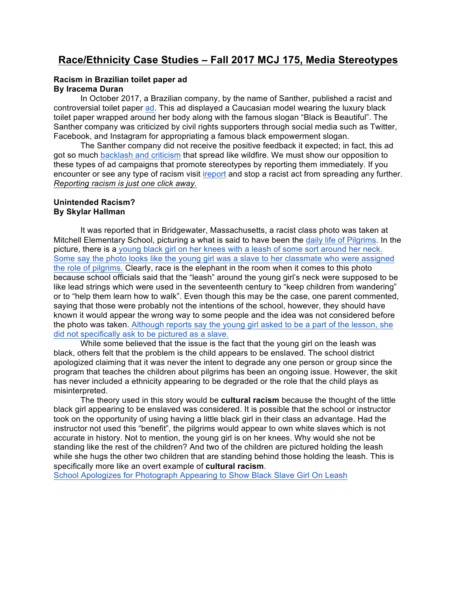# **Race/Ethnicity Case Studies – Fall 2017 MCJ 175, Media Stereotypes**

### **Racism in Brazilian toilet paper ad By Iracema Duran**

In October 2017, a Brazilian company, by the name of Santher, published a racist and controversial toilet paper ad. This ad displayed a Caucasian model wearing the luxury black toilet paper wrapped around her body along with the famous slogan "Black is Beautiful". The Santher company was criticized by civil rights supporters through social media such as Twitter, Facebook, and Instagram for appropriating a famous black empowerment slogan.

The Santher company did not receive the positive feedback it expected; in fact, this ad got so much backlash and criticism that spread like wildfire. We must show our opposition to these types of ad campaigns that promote stereotypes by reporting them immediately. If you encounter or see any type of racism visit ireport and stop a racist act from spreading any further. *Reporting racism is just one click away.*

### **Unintended Racism? By Skylar Hallman**

It was reported that in Bridgewater, Massachusetts, a racist class photo was taken at Mitchell Elementary School, picturing a what is said to have been the daily life of Pilgrims. In the picture, there is a young black girl on her knees with a leash of some sort around her neck. Some say the photo looks like the young girl was a slave to her classmate who were assigned the role of pilgrims. Clearly, race is the elephant in the room when it comes to this photo because school officials said that the "leash" around the young girl's neck were supposed to be like lead strings which were used in the seventeenth century to "keep children from wandering" or to "help them learn how to walk". Even though this may be the case, one parent commented, saying that those were probably not the intentions of the school, however, they should have known it would appear the wrong way to some people and the idea was not considered before the photo was taken. Although reports say the young girl asked to be a part of the lesson, she did not specifically ask to be pictured as a slave.

While some believed that the issue is the fact that the young girl on the leash was black, others felt that the problem is the child appears to be enslaved. The school district apologized claiming that it was never the intent to degrade any one person or group since the program that teaches the children about pilgrims has been an ongoing issue. However, the skit has never included a ethnicity appearing to be degraded or the role that the child plays as misinterpreted.

The theory used in this story would be **cultural racism** because the thought of the little black girl appearing to be enslaved was considered. It is possible that the school or instructor took on the opportunity of using having a little black girl in their class an advantage. Had the instructor not used this "benefit", the pilgrims would appear to own white slaves which is not accurate in history. Not to mention, the young girl is on her knees. Why would she not be standing like the rest of the children? And two of the children are pictured holding the leash while she hugs the other two children that are standing behind those holding the leash. This is specifically more like an overt example of **cultural racism**.

School Apologizes for Photograph Appearing to Show Black Slave Girl On Leash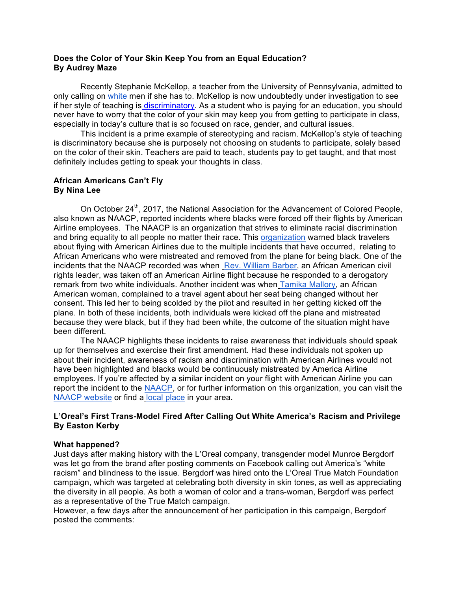### **Does the Color of Your Skin Keep You from an Equal Education? By Audrey Maze**

Recently Stephanie McKellop, a teacher from the University of Pennsylvania, admitted to only calling on white men if she has to. McKellop is now undoubtedly under investigation to see if her style of teaching is discriminatory. As a student who is paying for an education, you should never have to worry that the color of your skin may keep you from getting to participate in class, especially in today's culture that is so focused on race, gender, and cultural issues.

This incident is a prime example of stereotyping and racism. McKellop's style of teaching is discriminatory because she is purposely not choosing on students to participate, solely based on the color of their skin. Teachers are paid to teach, students pay to get taught, and that most definitely includes getting to speak your thoughts in class.

# **African Americans Can't Fly By Nina Lee**

On October 24<sup>th</sup>, 2017, the National Association for the Advancement of Colored People, also known as NAACP, reported incidents where blacks were forced off their flights by American Airline employees. The NAACP is an organization that strives to eliminate racial discrimination and bring equality to all people no matter their race. This organization warned black travelers about flying with American Airlines due to the multiple incidents that have occurred, relating to African Americans who were mistreated and removed from the plane for being black. One of the incidents that the NAACP recorded was when Rev. William Barber, an African American civil rights leader, was taken off an American Airline flight because he responded to a derogatory remark from two white individuals. Another incident was when Tamika Mallory, an African American woman, complained to a travel agent about her seat being changed without her consent. This led her to being scolded by the pilot and resulted in her getting kicked off the plane. In both of these incidents, both individuals were kicked off the plane and mistreated because they were black, but if they had been white, the outcome of the situation might have been different.

The NAACP highlights these incidents to raise awareness that individuals should speak up for themselves and exercise their first amendment. Had these individuals not spoken up about their incident, awareness of racism and discrimination with American Airlines would not have been highlighted and blacks would be continuously mistreated by America Airline employees. If you're affected by a similar incident on your flight with American Airline you can report the incident to the NAACP, or for further information on this organization, you can visit the NAACP website or find a local place in your area.

# **L'Oreal's First Trans-Model Fired After Calling Out White America's Racism and Privilege By Easton Kerby**

### **What happened?**

Just days after making history with the L'Oreal company, transgender model Munroe Bergdorf was let go from the brand after posting comments on Facebook calling out America's "white racism" and blindness to the issue. Bergdorf was hired onto the L'Oreal True Match Foundation campaign, which was targeted at celebrating both diversity in skin tones, as well as appreciating the diversity in all people. As both a woman of color and a trans-woman, Bergdorf was perfect as a representative of the True Match campaign.

However, a few days after the announcement of her participation in this campaign, Bergdorf posted the comments: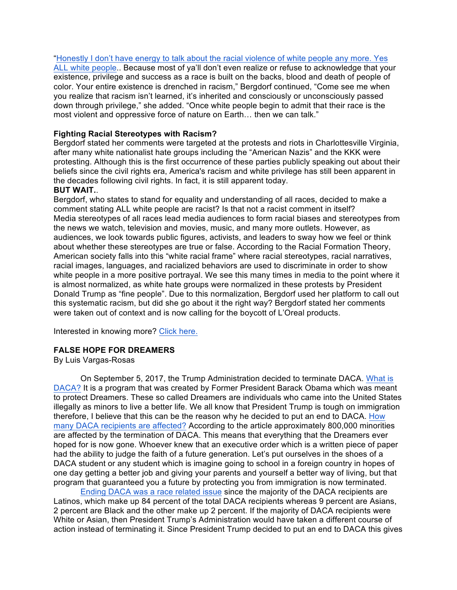"Honestly I don't have energy to talk about the racial violence of white people any more. Yes ALL white people.. Because most of ya'll don't even realize or refuse to acknowledge that your existence, privilege and success as a race is built on the backs, blood and death of people of color. Your entire existence is drenched in racism," Bergdorf continued, "Come see me when you realize that racism isn't learned, it's inherited and consciously or unconsciously passed down through privilege," she added. "Once white people begin to admit that their race is the most violent and oppressive force of nature on Earth… then we can talk."

# **Fighting Racial Stereotypes with Racism?**

Bergdorf stated her comments were targeted at the protests and riots in Charlottesville Virginia, after many white nationalist hate groups including the "American Nazis" and the KKK were protesting. Although this is the first occurrence of these parties publicly speaking out about their beliefs since the civil rights era, America's racism and white privilege has still been apparent in the decades following civil rights. In fact, it is still apparent today.

### **BUT WAIT.**.

Bergdorf, who states to stand for equality and understanding of all races, decided to make a comment stating ALL white people are racist? Is that not a racist comment in itself? Media stereotypes of all races lead media audiences to form racial biases and stereotypes from the news we watch, television and movies, music, and many more outlets. However, as audiences, we look towards public figures, activists, and leaders to sway how we feel or think about whether these stereotypes are true or false. According to the Racial Formation Theory, American society falls into this "white racial frame" where racial stereotypes, racial narratives, racial images, languages, and racialized behaviors are used to discriminate in order to show white people in a more positive portrayal. We see this many times in media to the point where it is almost normalized, as white hate groups were normalized in these protests by President Donald Trump as "fine people". Due to this normalization, Bergdorf used her platform to call out this systematic racism, but did she go about it the right way? Bergdorf stated her comments were taken out of context and is now calling for the boycott of L'Oreal products.

Interested in knowing more? Click here.

# **FALSE HOPE FOR DREAMERS**

By Luis Vargas-Rosas

On September 5, 2017, the Trump Administration decided to terminate DACA. What is DACA? It is a program that was created by Former President Barack Obama which was meant to protect Dreamers. These so called Dreamers are individuals who came into the United States illegally as minors to live a better life. We all know that President Trump is tough on immigration therefore, I believe that this can be the reason why he decided to put an end to DACA. How many DACA recipients are affected? According to the article approximately 800,000 minorities are affected by the termination of DACA. This means that everything that the Dreamers ever hoped for is now gone. Whoever knew that an executive order which is a written piece of paper had the ability to judge the faith of a future generation. Let's put ourselves in the shoes of a DACA student or any student which is imagine going to school in a foreign country in hopes of one day getting a better job and giving your parents and yourself a better way of living, but that program that guaranteed you a future by protecting you from immigration is now terminated.

Ending DACA was a race related issue since the majority of the DACA recipients are Latinos, which make up 84 percent of the total DACA recipients whereas 9 percent are Asians, 2 percent are Black and the other make up 2 percent. If the majority of DACA recipients were White or Asian, then President Trump's Administration would have taken a different course of action instead of terminating it. Since President Trump decided to put an end to DACA this gives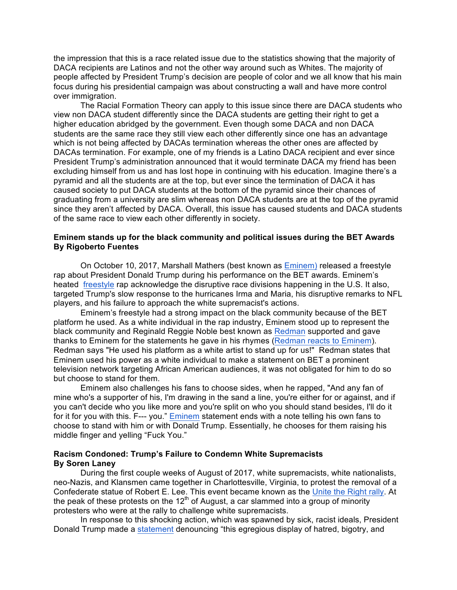the impression that this is a race related issue due to the statistics showing that the majority of DACA recipients are Latinos and not the other way around such as Whites. The majority of people affected by President Trump's decision are people of color and we all know that his main focus during his presidential campaign was about constructing a wall and have more control over immigration.

The Racial Formation Theory can apply to this issue since there are DACA students who view non DACA student differently since the DACA students are getting their right to get a higher education abridged by the government. Even though some DACA and non DACA students are the same race they still view each other differently since one has an advantage which is not being affected by DACAs termination whereas the other ones are affected by DACAs termination. For example, one of my friends is a Latino DACA recipient and ever since President Trump's administration announced that it would terminate DACA my friend has been excluding himself from us and has lost hope in continuing with his education. Imagine there's a pyramid and all the students are at the top, but ever since the termination of DACA it has caused society to put DACA students at the bottom of the pyramid since their chances of graduating from a university are slim whereas non DACA students are at the top of the pyramid since they aren't affected by DACA. Overall, this issue has caused students and DACA students of the same race to view each other differently in society.

### **Eminem stands up for the black community and political issues during the BET Awards By Rigoberto Fuentes**

On October 10, 2017, Marshall Mathers (best known as Eminem) released a freestyle rap about President Donald Trump during his performance on the BET awards. Eminem's heated freestyle rap acknowledge the disruptive race divisions happening in the U.S. It also, targeted Trump's slow response to the hurricanes Irma and Maria, his disruptive remarks to NFL players, and his failure to approach the white supremacist's actions.

Eminem's freestyle had a strong impact on the black community because of the BET platform he used. As a white individual in the rap industry, Eminem stood up to represent the black community and Reginald Reggie Noble best known as Redman supported and gave thanks to Eminem for the statements he gave in his rhymes (Redman reacts to Eminem). Redman says "He used his platform as a white artist to stand up for us!" Redman states that Eminem used his power as a white individual to make a statement on BET a prominent television network targeting African American audiences, it was not obligated for him to do so but choose to stand for them.

Eminem also challenges his fans to choose sides, when he rapped, "And any fan of mine who's a supporter of his, I'm drawing in the sand a line, you're either for or against, and if you can't decide who you like more and you're split on who you should stand besides, I'll do it for it for you with this. F--- you." Eminem statement ends with a note telling his own fans to choose to stand with him or with Donald Trump. Essentially, he chooses for them raising his middle finger and yelling "Fuck You."

### **Racism Condoned: Trump's Failure to Condemn White Supremacists By Soren Laney**

 During the first couple weeks of August of 2017, white supremacists, white nationalists, neo-Nazis, and Klansmen came together in Charlottesville, Virginia, to protest the removal of a Confederate statue of Robert E. Lee. This event became known as the Unite the Right rally. At the peak of these protests on the 12<sup>th</sup> of August, a car slammed into a group of minority protesters who were at the rally to challenge white supremacists.

In response to this shocking action, which was spawned by sick, racist ideals, President Donald Trump made a statement denouncing "this egregious display of hatred, bigotry, and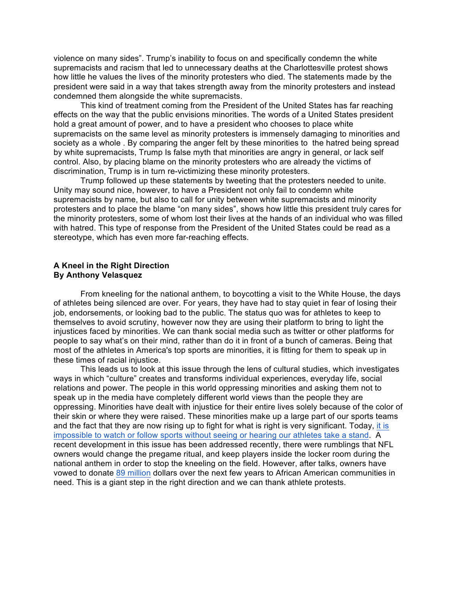violence on many sides". Trump's inability to focus on and specifically condemn the white supremacists and racism that led to unnecessary deaths at the Charlottesville protest shows how little he values the lives of the minority protesters who died. The statements made by the president were said in a way that takes strength away from the minority protesters and instead condemned them alongside the white supremacists.

This kind of treatment coming from the President of the United States has far reaching effects on the way that the public envisions minorities. The words of a United States president hold a great amount of power, and to have a president who chooses to place white supremacists on the same level as minority protesters is immensely damaging to minorities and society as a whole . By comparing the anger felt by these minorities to the hatred being spread by white supremacists, Trump Is false myth that minorities are angry in general, or lack self control. Also, by placing blame on the minority protesters who are already the victims of discrimination, Trump is in turn re-victimizing these minority protesters.

Trump followed up these statements by tweeting that the protesters needed to unite. Unity may sound nice, however, to have a President not only fail to condemn white supremacists by name, but also to call for unity between white supremacists and minority protesters and to place the blame "on many sides", shows how little this president truly cares for the minority protesters, some of whom lost their lives at the hands of an individual who was filled with hatred. This type of response from the President of the United States could be read as a stereotype, which has even more far-reaching effects.

### **A Kneel in the Right Direction By Anthony Velasquez**

From kneeling for the national anthem, to boycotting a visit to the White House, the days of athletes being silenced are over. For years, they have had to stay quiet in fear of losing their job, endorsements, or looking bad to the public. The status quo was for athletes to keep to themselves to avoid scrutiny, however now they are using their platform to bring to light the injustices faced by minorities. We can thank social media such as twitter or other platforms for people to say what's on their mind, rather than do it in front of a bunch of cameras. Being that most of the athletes in America's top sports are minorities, it is fitting for them to speak up in these times of racial injustice.

This leads us to look at this issue through the lens of cultural studies, which investigates ways in which "culture" creates and transforms individual experiences, everyday life, social relations and power. The people in this world oppressing minorities and asking them not to speak up in the media have completely different world views than the people they are oppressing. Minorities have dealt with injustice for their entire lives solely because of the color of their skin or where they were raised. These minorities make up a large part of our sports teams and the fact that they are now rising up to fight for what is right is very significant. Today, it is impossible to watch or follow sports without seeing or hearing our athletes take a stand. A recent development in this issue has been addressed recently, there were rumblings that NFL owners would change the pregame ritual, and keep players inside the locker room during the national anthem in order to stop the kneeling on the field. However, after talks, owners have vowed to donate 89 million dollars over the next few years to African American communities in need. This is a giant step in the right direction and we can thank athlete protests.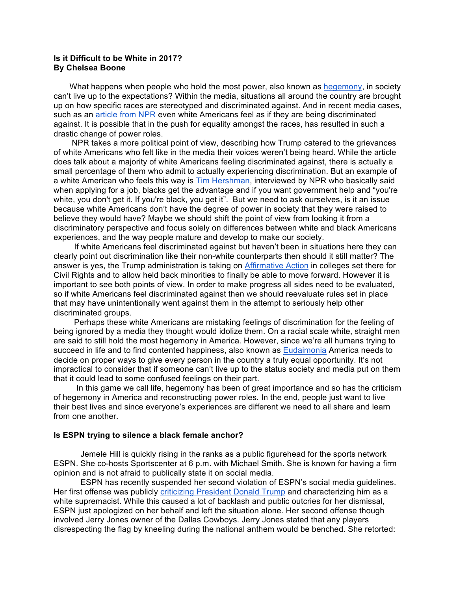### **Is it Difficult to be White in 2017? By Chelsea Boone**

What happens when people who hold the most power, also known as hegemony, in society can't live up to the expectations? Within the media, situations all around the country are brought up on how specific races are stereotyped and discriminated against. And in recent media cases, such as an article from NPR even white Americans feel as if they are being discriminated against. It is possible that in the push for equality amongst the races, has resulted in such a drastic change of power roles.

 NPR takes a more political point of view, describing how Trump catered to the grievances of white Americans who felt like in the media their voices weren't being heard. While the article does talk about a majority of white Americans feeling discriminated against, there is actually a small percentage of them who admit to actually experiencing discrimination. But an example of a white American who feels this way is Tim Hershman, interviewed by NPR who basically said when applying for a job, blacks get the advantage and if you want government help and "you're white, you don't get it. If you're black, you get it". But we need to ask ourselves, is it an issue because white Americans don't have the degree of power in society that they were raised to believe they would have? Maybe we should shift the point of view from looking it from a discriminatory perspective and focus solely on differences between white and black Americans experiences, and the way people mature and develop to make our society.

 If white Americans feel discriminated against but haven't been in situations here they can clearly point out discrimination like their non-white counterparts then should it still matter? The answer is yes, the Trump administration is taking on Affirmative Action in colleges set there for Civil Rights and to allow held back minorities to finally be able to move forward. However it is important to see both points of view. In order to make progress all sides need to be evaluated, so if white Americans feel discriminated against then we should reevaluate rules set in place that may have unintentionally went against them in the attempt to seriously help other discriminated groups.

 Perhaps these white Americans are mistaking feelings of discrimination for the feeling of being ignored by a media they thought would idolize them. On a racial scale white, straight men are said to still hold the most hegemony in America. However, since we're all humans trying to succeed in life and to find contented happiness, also known as Eudaimonia America needs to decide on proper ways to give every person in the country a truly equal opportunity. It's not impractical to consider that if someone can't live up to the status society and media put on them that it could lead to some confused feelings on their part.

 In this game we call life, hegemony has been of great importance and so has the criticism of hegemony in America and reconstructing power roles. In the end, people just want to live their best lives and since everyone's experiences are different we need to all share and learn from one another.

#### **Is ESPN trying to silence a black female anchor?**

Jemele Hill is quickly rising in the ranks as a public figurehead for the sports network ESPN. She co-hosts Sportscenter at 6 p.m. with Michael Smith. She is known for having a firm opinion and is not afraid to publically state it on social media.

ESPN has recently suspended her second violation of ESPN's social media guidelines. Her first offense was publicly criticizing President Donald Trump and characterizing him as a white supremacist. While this caused a lot of backlash and public outcries for her dismissal, ESPN just apologized on her behalf and left the situation alone. Her second offense though involved Jerry Jones owner of the Dallas Cowboys. Jerry Jones stated that any players disrespecting the flag by kneeling during the national anthem would be benched. She retorted: